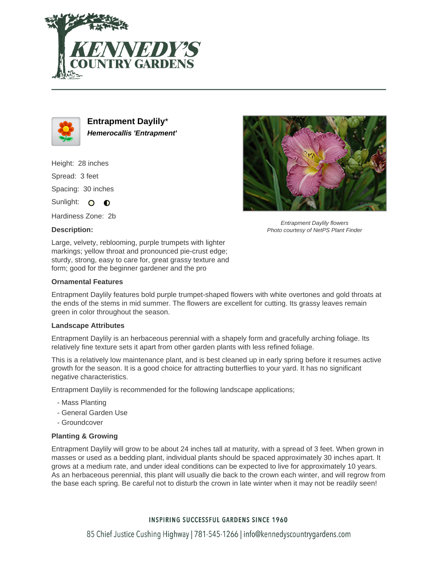



**Entrapment Daylily**\* **Hemerocallis 'Entrapment'**

Height: 28 inches Spread: 3 feet Spacing: 30 inches

Sunlight: O  $\bullet$ 

Hardiness Zone: 2b

# **Description:**



Entrapment Daylily flowers Photo courtesy of NetPS Plant Finder

Large, velvety, reblooming, purple trumpets with lighter markings; yellow throat and pronounced pie-crust edge; sturdy, strong, easy to care for, great grassy texture and form; good for the beginner gardener and the pro

## **Ornamental Features**

Entrapment Daylily features bold purple trumpet-shaped flowers with white overtones and gold throats at the ends of the stems in mid summer. The flowers are excellent for cutting. Its grassy leaves remain green in color throughout the season.

### **Landscape Attributes**

Entrapment Daylily is an herbaceous perennial with a shapely form and gracefully arching foliage. Its relatively fine texture sets it apart from other garden plants with less refined foliage.

This is a relatively low maintenance plant, and is best cleaned up in early spring before it resumes active growth for the season. It is a good choice for attracting butterflies to your yard. It has no significant negative characteristics.

Entrapment Daylily is recommended for the following landscape applications;

- Mass Planting
- General Garden Use
- Groundcover

# **Planting & Growing**

Entrapment Daylily will grow to be about 24 inches tall at maturity, with a spread of 3 feet. When grown in masses or used as a bedding plant, individual plants should be spaced approximately 30 inches apart. It grows at a medium rate, and under ideal conditions can be expected to live for approximately 10 years. As an herbaceous perennial, this plant will usually die back to the crown each winter, and will regrow from the base each spring. Be careful not to disturb the crown in late winter when it may not be readily seen!

# **INSPIRING SUCCESSFUL GARDENS SINCE 1960**